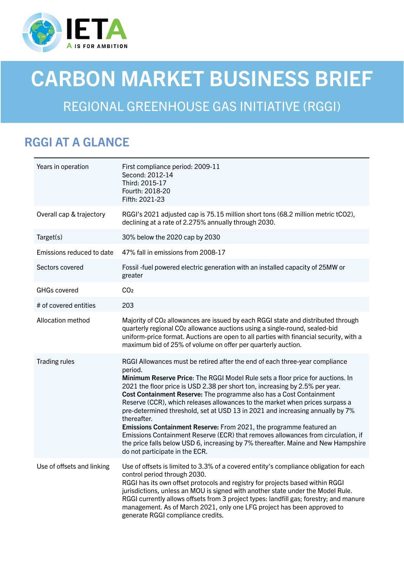

# CARBON MARKET BUSINESS BRIEF

REGIONAL GREENHOUSE GAS INITIATIVE (RGGI)

## RGGI AT A GLANCE

| Years in operation         | First compliance period: 2009-11<br>Second: 2012-14<br>Third: 2015-17<br>Fourth: 2018-20<br>Fifth: 2021-23                                                                                                                                                                                                                                                                                                                                                                                                                                                                                                                                                                                                                                                                                        |
|----------------------------|---------------------------------------------------------------------------------------------------------------------------------------------------------------------------------------------------------------------------------------------------------------------------------------------------------------------------------------------------------------------------------------------------------------------------------------------------------------------------------------------------------------------------------------------------------------------------------------------------------------------------------------------------------------------------------------------------------------------------------------------------------------------------------------------------|
| Overall cap & trajectory   | RGGI's 2021 adjusted cap is 75.15 million short tons (68.2 million metric tCO2),<br>declining at a rate of 2.275% annually through 2030.                                                                                                                                                                                                                                                                                                                                                                                                                                                                                                                                                                                                                                                          |
| Target(s)                  | 30% below the 2020 cap by 2030                                                                                                                                                                                                                                                                                                                                                                                                                                                                                                                                                                                                                                                                                                                                                                    |
| Emissions reduced to date  | 47% fall in emissions from 2008-17                                                                                                                                                                                                                                                                                                                                                                                                                                                                                                                                                                                                                                                                                                                                                                |
| Sectors covered            | Fossil -fuel powered electric generation with an installed capacity of 25MW or<br>greater                                                                                                                                                                                                                                                                                                                                                                                                                                                                                                                                                                                                                                                                                                         |
| <b>GHGs covered</b>        | CO <sub>2</sub>                                                                                                                                                                                                                                                                                                                                                                                                                                                                                                                                                                                                                                                                                                                                                                                   |
| # of covered entities      | 203                                                                                                                                                                                                                                                                                                                                                                                                                                                                                                                                                                                                                                                                                                                                                                                               |
| Allocation method          | Majority of CO <sub>2</sub> allowances are issued by each RGGI state and distributed through<br>quarterly regional CO <sub>2</sub> allowance auctions using a single-round, sealed-bid<br>uniform-price format. Auctions are open to all parties with financial security, with a<br>maximum bid of 25% of volume on offer per quarterly auction.                                                                                                                                                                                                                                                                                                                                                                                                                                                  |
| Trading rules              | RGGI Allowances must be retired after the end of each three-year compliance<br>period.<br>Minimum Reserve Price: The RGGI Model Rule sets a floor price for auctions. In<br>2021 the floor price is USD 2.38 per short ton, increasing by 2.5% per year.<br>Cost Containment Reserve: The programme also has a Cost Containment<br>Reserve (CCR), which releases allowances to the market when prices surpass a<br>pre-determined threshold, set at USD 13 in 2021 and increasing annually by 7%<br>thereafter.<br>Emissions Containment Reserve: From 2021, the programme featured an<br>Emissions Containment Reserve (ECR) that removes allowances from circulation, if<br>the price falls below USD 6, increasing by 7% thereafter. Maine and New Hampshire<br>do not participate in the ECR. |
| Use of offsets and linking | Use of offsets is limited to 3.3% of a covered entity's compliance obligation for each<br>control period through 2030.<br>RGGI has its own offset protocols and registry for projects based within RGGI<br>jurisdictions, unless an MOU is signed with another state under the Model Rule.<br>RGGI currently allows offsets from 3 project types: landfill gas; forestry; and manure<br>management. As of March 2021, only one LFG project has been approved to<br>generate RGGI compliance credits.                                                                                                                                                                                                                                                                                              |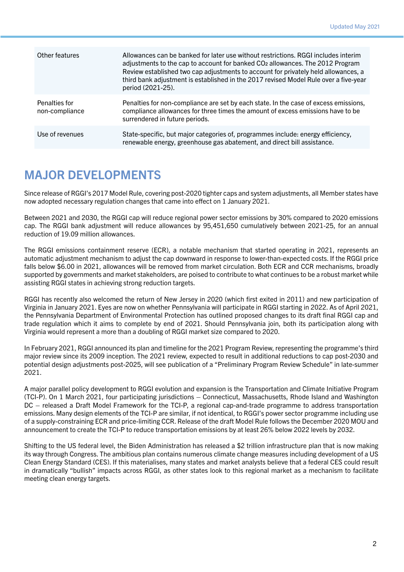| Other features                  | Allowances can be banked for later use without restrictions. RGGI includes interim<br>adjustments to the cap to account for banked CO2 allowances. The 2012 Program<br>Review established two cap adjustments to account for privately held allowances, a<br>third bank adjustment is established in the 2017 revised Model Rule over a five-year<br>period (2021-25). |
|---------------------------------|------------------------------------------------------------------------------------------------------------------------------------------------------------------------------------------------------------------------------------------------------------------------------------------------------------------------------------------------------------------------|
| Penalties for<br>non-compliance | Penalties for non-compliance are set by each state. In the case of excess emissions,<br>compliance allowances for three times the amount of excess emissions have to be<br>surrendered in future periods.                                                                                                                                                              |
| Use of revenues                 | State-specific, but major categories of, programmes include: energy efficiency,<br>renewable energy, greenhouse gas abatement, and direct bill assistance.                                                                                                                                                                                                             |

#### MAJOR DEVELOPMENTS

Since release of RGGI's 2017 Model Rule, covering post-2020 tighter caps and system adjustments, all Member states have now adopted necessary regulation changes that came into effect on 1 January 2021.

Between 2021 and 2030, the RGGI cap will reduce regional power sector emissions by 30% compared to 2020 emissions cap. The RGGI bank adjustment will reduce allowances by 95,451,650 cumulatively between 2021-25, for an annual reduction of 19.09 million allowances.

The RGGI emissions containment reserve (ECR), a notable mechanism that started operating in 2021, represents an automatic adjustment mechanism to adjust the cap downward in response to lower-than-expected costs. If the RGGI price falls below \$6.00 in 2021, allowances will be removed from market circulation. Both ECR and CCR mechanisms, broadly supported by governments and market stakeholders, are poised to contribute to what continues to be a robust market while assisting RGGI states in achieving strong reduction targets.

RGGI has recently also welcomed the return of New Jersey in 2020 (which first exited in 2011) and new participation of Virginia in January 2021. Eyes are now on whether Pennsylvania will participate in RGGI starting in 2022. As of April 2021, the Pennsylvania Department of Environmental Protection has outlined proposed changes to its draft final RGGI cap and trade regulation which it aims to complete by end of 2021. Should Pennsylvania join, both its participation along with Virginia would represent a more than a doubling of RGGI market size compared to 2020.

In February 2021, RGGI announced its plan and timeline for the 2021 Program Review, representing the programme's third major review since its 2009 inception. The 2021 review, expected to result in additional reductions to cap post-2030 and potential design adjustments post-2025, will see publication of a "Preliminary Program Review Schedule" in late-summer 2021.

A major parallel policy development to RGGI evolution and expansion is the Transportation and Climate Initiative Program (TCI-P). On 1 March 2021, four participating jurisdictions – Connecticut, Massachusetts, Rhode Island and Washington DC – released a Draft Model Framework for the TCI-P, a regional cap-and-trade programme to address transportation emissions. Many design elements of the TCI-P are similar, if not identical, to RGGI's power sector programme including use of a supply-constraining ECR and price-limiting CCR. Release of the draft Model Rule follows the December 2020 MOU and announcement to create the TCI-P to reduce transportation emissions by at least 26% below 2022 levels by 2032.

Shifting to the US federal level, the Biden Administration has released a \$2 trillion infrastructure plan that is now making its way through Congress. The ambitious plan contains numerous climate change measures including development of a US Clean Energy Standard (CES). If this materialises, many states and market analysts believe that a federal CES could result in dramatically "bullish" impacts across RGGI, as other states look to this regional market as a mechanism to facilitate meeting clean energy targets.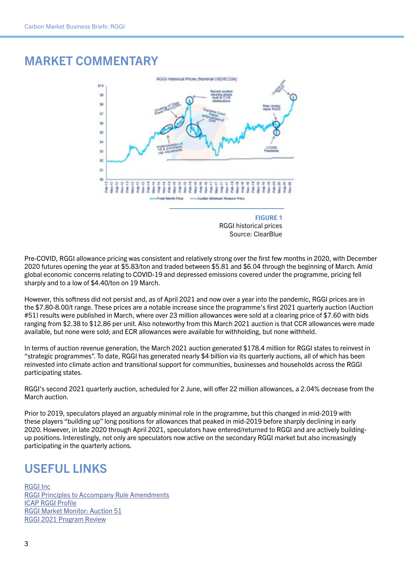## MARKET COMMENTARY



RGGI historical prices Source: ClearBlue

Pre-COVID, RGGI allowance pricing was consistent and relatively strong over the first few months in 2020, with December 2020 futures opening the year at \$5.83/ton and traded between \$5.81 and \$6.04 through the beginning of March. Amid global economic concerns relating to COVID-19 and depressed emissions covered under the programme, pricing fell sharply and to a low of \$4.40/ton on 19 March.

However, this softness did not persist and, as of April 2021 and now over a year into the pandemic, RGGI prices are in the \$7.80-8.00/t range. These prices are a notable increase since the programme's first 2021 quarterly auction (Auction #51) results were published in March, where over 23 million allowances were sold at a clearing price of \$7.60 with bids ranging from \$2.38 to \$12.86 per unit. Also noteworthy from this March 2021 auction is that CCR allowances were made available, but none were sold; and ECR allowances were available for withholding, but none withheld.

In terms of auction revenue generation, the March 2021 auction generated \$178.4 million for RGGI states to reinvest in "strategic programmes". To date, RGGI has generated nearly \$4 billion via its quarterly auctions, all of which has been reinvested into climate action and transitional support for communities, businesses and households across the RGGI participating states.

RGGI's second 2021 quarterly auction, scheduled for 2 June, will offer 22 million allowances, a 2.04% decrease from the March auction.

Prior to 2019, speculators played an arguably minimal role in the programme, but this changed in mid-2019 with these players "building up" long positions for allowances that peaked in mid-2019 before sharply declining in early 2020. However, in late 2020 through April 2021, speculators have entered/returned to RGGI and are actively buildingup positions. Interestingly, not only are speculators now active on the secondary RGGI market but also increasingly participating in the quarterly actions.

## USEFUL LINKS

[RGGI Inc](https://www.rggi.org/) [RGGI Principles to Accompany Rule Amendments](https://www.rggi.org/sites/default/files/Uploads/Program-Review/12-19-2017/Principles_Accompanying_Model_Rule.pdf) [ICAP RGGI Profile](https://icapcarbonaction.com/en/?option=com_etsmap&task=export&format=pdf&layout=list&systems%5B%5D=50) [RGGI Market Monitor: Auction 51](https://rggi.us1.list-manage.com/track/click?u=30b3d3096a24600c6bfadf37a&id=2f2f7cdf7c&e=e3e7a315cd) [RGGI 2021 Program Review](https://www.rggi.org/sites/default/files/Uploads/Program-Review/2-2-2021/Program_Review_Initial_Statement.pdf)